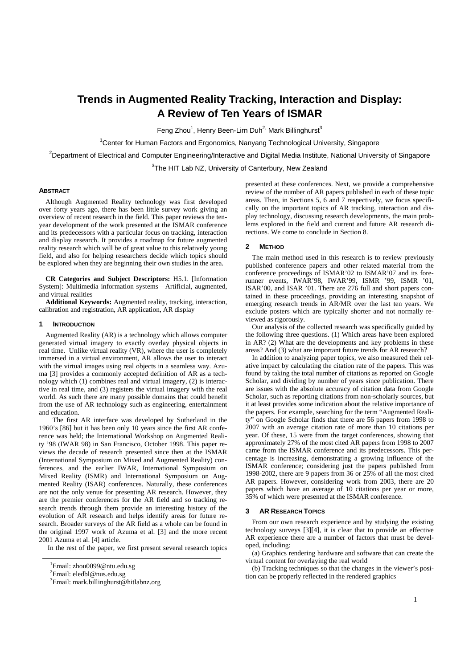# **Trends in Augmented Reality Tracking, Interaction and Display: A Review of Ten Years of ISMAR**

Feng Zhou<sup>1</sup>, Henry Been-Lirn Duh<sup>2,</sup> Mark Billinghurst<sup>3</sup>

<sup>1</sup>Center for Human Factors and Ergonomics, Nanyang Technological University, Singapore

<sup>2</sup>Department of Electrical and Computer Engineering/Interactive and Digital Media Institute, National University of Singapore

<sup>3</sup>The HIT Lab NZ, University of Canterbury, New Zealand

#### **ABSTRACT**

Although Augmented Reality technology was first developed over forty years ago, there has been little survey work giving an overview of recent research in the field. This paper reviews the tenyear development of the work presented at the ISMAR conference and its predecessors with a particular focus on tracking, interaction and display research. It provides a roadmap for future augmented reality research which will be of great value to this relatively young field, and also for helping researchers decide which topics should be explored when they are beginning their own studies in the area.

**CR Categories and Subject Descriptors:** H5.1. [Information System]: Multimedia information systems—Artificial, augmented, and virtual realities

**Additional Keywords:** Augmented reality, tracking, interaction, calibration and registration, AR application, AR display

#### **1 INTRODUCTION**

Augmented Reality (AR) is a technology which allows computer generated virtual imagery to exactly overlay physical objects in real time. Unlike virtual reality (VR), where the user is completely immersed in a virtual environment, AR allows the user to interact with the virtual images using real objects in a seamless way. Azuma [3] provides a commonly accepted definition of AR as a technology which (1) combines real and virtual imagery, (2) is interactive in real time, and (3) registers the virtual imagery with the real world. As such there are many possible domains that could benefit from the use of AR technology such as engineering, entertainment and education.

 The first AR interface was developed by Sutherland in the 1960's [86] but it has been only 10 years since the first AR conference was held; the International Workshop on Augmented Reality '98 (IWAR 98) in San Francisco, October 1998. This paper reviews the decade of research presented since then at the ISMAR (International Symposium on Mixed and Augmented Reality) conferences, and the earlier IWAR, International Symposium on Mixed Reality (ISMR) and International Symposium on Augmented Reality (ISAR) conferences. Naturally, these conferences are not the only venue for presenting AR research. However, they are the premier conferences for the AR field and so tracking research trends through them provide an interesting history of the evolution of AR research and helps identify areas for future research. Broader surveys of the AR field as a whole can be found in the original 1997 work of Azuma et al. [3] and the more recent 2001 Azuma et al. [4] article.

In the rest of the paper, we first present several research topics

presented at these conferences. Next, we provide a comprehensive review of the number of AR papers published in each of these topic areas. Then, in Sections 5, 6 and 7 respectively, we focus specifically on the important topics of AR tracking, interaction and display technology, discussing research developments, the main problems explored in the field and current and future AR research directions. We come to conclude in Section 8.

## **2 METHOD**

The main method used in this research is to review previously published conference papers and other related material from the conference proceedings of ISMAR'02 to ISMAR'07 and its forerunner events, IWAR'98, IWAR'99, ISMR '99, ISMR '01, ISAR'00, and ISAR '01. There are 276 full and short papers contained in these proceedings, providing an interesting snapshot of emerging research trends in AR/MR over the last ten years. We exclude posters which are typically shorter and not normally reviewed as rigorously.

Our analysis of the collected research was specifically guided by the following three questions. (1) Which areas have been explored in AR? (2) What are the developments and key problems in these areas? And (3) what are important future trends for AR research?

In addition to analyzing paper topics, we also measured their relative impact by calculating the citation rate of the papers. This was found by taking the total number of citations as reported on Google Scholar, and dividing by number of years since publication. There are issues with the absolute accuracy of citation data from Google Scholar, such as reporting citations from non-scholarly sources, but it at least provides some indication about the relative importance of the papers. For example, searching for the term "Augmented Reality" on Google Scholar finds that there are 56 papers from 1998 to 2007 with an average citation rate of more than 10 citations per year. Of these, 15 were from the target conferences, showing that approximately 27% of the most cited AR papers from 1998 to 2007 came from the ISMAR conference and its predecessors. This percentage is increasing, demonstrating a growing influence of the ISMAR conference; considering just the papers published from 1998-2002, there are 9 papers from 36 or 25% of all the most cited AR papers. However, considering work from 2003, there are 20 papers which have an average of 10 citations per year or more, 35% of which were presented at the ISMAR conference.

#### **3 AR RESEARCH TOPICS**

From our own research experience and by studying the existing technology surveys [3][4], it is clear that to provide an effective AR experience there are a number of factors that must be developed, including:

(a) Graphics rendering hardware and software that can create the virtual content for overlaying the real world

(b) Tracking techniques so that the changes in the viewer's position can be properly reflected in the rendered graphics

<sup>&</sup>lt;sup>1</sup>Email: zhou0099@ntu.edu.sg

<sup>&</sup>lt;sup>2</sup>Email: eledbl@nus.edu.sg

<sup>3</sup> Email: mark.billinghurst@hitlabnz.org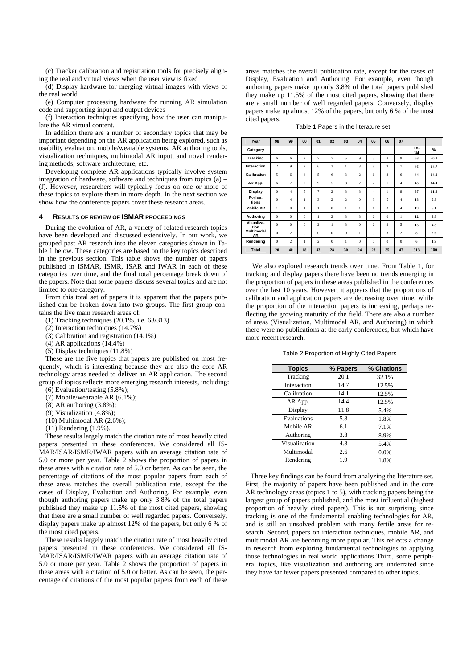(c) Tracker calibration and registration tools for precisely aligning the real and virtual views when the user view is fixed

(d) Display hardware for merging virtual images with views of the real world

(e) Computer processing hardware for running AR simulation code and supporting input and output devices

(f) Interaction techniques specifying how the user can manipulate the AR virtual content.

In addition there are a number of secondary topics that may be important depending on the AR application being explored, such as usability evaluation, mobile/wearable systems, AR authoring tools, visualization techniques, multimodal AR input, and novel rendering methods, software architecture, etc.

Developing complete AR applications typically involve system integration of hardware, software and techniques from topics (a) – (f). However, researchers will typically focus on one or more of these topics to explore them in more depth. In the next section we show how the conference papers cover these research areas.

#### **4 RESULTS OF REVIEW OF ISMAR PROCEEDINGS**

During the evolution of AR, a variety of related research topics have been developed and discussed extensively. In our work, we grouped past AR research into the eleven categories shown in Table 1 below. These categories are based on the key topics described in the previous section. This table shows the number of papers published in ISMAR, ISMR, ISAR and IWAR in each of these categories over time, and the final total percentage break down of the papers. Note that some papers discuss several topics and are not limited to one category.

From this total set of papers it is apparent that the papers published can be broken down into two groups. The first group contains the five main research areas of:

(1) Tracking techniques (20.1%, i.e. 63/313)

(2) Interaction techniques (14.7%)

(3) Calibration and registration (14.1%)

(4) AR applications (14.4%)

(5) Display techniques (11.8%)

These are the five topics that papers are published on most frequently, which is interesting because they are also the core AR technology areas needed to deliver an AR application. The second group of topics reflects more emerging research interests, including:

(6) Evaluation/testing (5.8%);

(7) Mobile/wearable AR (6.1%);

(8) AR authoring (3.8%);

(9) Visualization (4.8%);

(10) Multimodal AR (2.6%);

(11) Rendering (1.9%).

These results largely match the citation rate of most heavily cited papers presented in these conferences. We considered all IS-MAR/ISAR/ISMR/IWAR papers with an average citation rate of 5.0 or more per year. Table 2 shows the proportion of papers in these areas with a citation rate of 5.0 or better. As can be seen, the percentage of citations of the most popular papers from each of these areas matches the overall publication rate, except for the cases of Display, Evaluation and Authoring. For example, even though authoring papers make up only 3.8% of the total papers published they make up 11.5% of the most cited papers, showing that there are a small number of well regarded papers. Conversely, display papers make up almost 12% of the papers, but only 6 % of the most cited papers.

These results largely match the citation rate of most heavily cited papers presented in these conferences. We considered all IS-MAR/ISAR/ISMR/IWAR papers with an average citation rate of 5.0 or more per year. Table 2 shows the proportion of papers in these areas with a citation of 5.0 or better. As can be seen, the percentage of citations of the most popular papers from each of these

areas matches the overall publication rate, except for the cases of Display, Evaluation and Authoring. For example, even though authoring papers make up only 3.8% of the total papers published they make up 11.5% of the most cited papers, showing that there are a small number of well regarded papers. Conversely, display papers make up almost 12% of the papers, but only 6 % of the most cited papers.

Table 1 Papers in the literature set

| Year                           | 98             | 99             | 00             | 01                  | 02             | 03                  | 04                  | 05             | 06               | 07             |            |      |
|--------------------------------|----------------|----------------|----------------|---------------------|----------------|---------------------|---------------------|----------------|------------------|----------------|------------|------|
| Category                       |                |                |                |                     |                |                     |                     |                |                  |                | To-<br>tal | %    |
| Tracking                       | 6              | 6              | $\overline{c}$ | $\overline{7}$      | $\overline{7}$ | 5                   | $\mathbf{Q}$        | 5              | $\boldsymbol{8}$ | $\overline{9}$ | 63         | 20.1 |
| Interaction                    | $\overline{2}$ | 9              | $\mathfrak{D}$ | 6                   | 3              | 1                   | $\ddot{\mathbf{3}}$ | 8              | 9                | $\overline{7}$ | 46         | 14.7 |
| Calibration                    | 5              | 6              | $\overline{4}$ | $\overline{5}$      | 6              | 3                   | $\overline{c}$      | $\mathbf{1}$   | 3                | 6              | 44         | 14.1 |
| AR App.                        | 6              | 7              | $\overline{c}$ | 9                   | 5              | 8                   | $\overline{2}$      | $\overline{2}$ | 1                | 4              | 45         | 14.4 |
| Display                        | $\Omega$       | $\overline{4}$ | 5              | $\overline{7}$      | $\overline{c}$ | 3                   | 3                   | $\overline{4}$ | 1                | 8              | 37         | 11.8 |
| Evalua-<br>tions               | $\Omega$       | $\overline{4}$ | 1              | $\ddot{\mathbf{3}}$ | $\overline{c}$ | $\overline{c}$      | $\Omega$            | 3              | 5                | 4              | 18         | 5.8  |
| <b>Mobile AR</b>               | $\mathbf{1}$   | $\Omega$       | $\mathbf{1}$   | $\mathbf{1}$        | $\Omega$       | $\mathbf{1}$        | $\mathbf{1}$        | $\mathbf{1}$   | 3                | $\overline{4}$ | 19         | 6.1  |
| Authoring                      | $\Omega$       | $\Omega$       | $\Omega$       | $\mathbf{1}$        | $\overline{c}$ | $\ddot{\mathbf{3}}$ | 3                   | $\overline{2}$ | $\Omega$         | $\mathbf{1}$   | 12         | 3.8  |
| Visualiza-<br>tion             | $\Omega$       | $\Omega$       | $\Omega$       | $\overline{c}$      | $\mathbf{1}$   | $\ddot{\mathbf{3}}$ | $\Omega$            | $\overline{2}$ | $\mathbf{3}$     | 5              | 15         | 4.8  |
| <b>Multimodal</b><br><b>AR</b> | $\mathbf{0}$   | $\overline{c}$ | $\mathbf{0}$   | $\mathbf{0}$        | $\mathbf{0}$   | $\mathbf{0}$        | $\mathbf{1}$        | $\mathbf{0}$   | 3                | $\overline{c}$ | 8          | 2.6  |
| Rendering                      | $\Omega$       | $\overline{c}$ | $\mathbf{1}$   | $\overline{c}$      | $\Omega$       | $\mathbf{1}$        | $\mathbf{0}$        | $\Omega$       | $\mathbf{0}$     | $\theta$       | 6          | 1.9  |
| <b>Total</b>                   | 20             | 40             | 18             | 43                  | 28             | 30                  | 24                  | 28             | 35               | 47             | 313        | 100  |

We also explored research trends over time. From Table 1, for tracking and display papers there have been no trends emerging in the proportion of papers in these areas published in the conferences over the last 10 years. However, it appears that the proportions of calibration and application papers are decreasing over time, while the proportion of the interaction papers is increasing, perhaps reflecting the growing maturity of the field. There are also a number of areas (Visualization, Multimodal AR, and Authoring) in which there were no publications at the early conferences, but which have more recent research.

|  |  |  | Table 2 Proportion of Highly Cited Papers |
|--|--|--|-------------------------------------------|
|  |  |  |                                           |

| <b>Topics</b> | % Papers | % Citations |
|---------------|----------|-------------|
| Tracking      | 20.1     | 32.1%       |
| Interaction   | 14.7     | 12.5%       |
| Calibration   | 14.1     | 12.5%       |
| AR App.       | 14.4     | 12.5%       |
| Display       | 11.8     | 5.4%        |
| Evaluations   | 5.8      | 1.8%        |
| Mobile AR     | 6.1      | 7.1%        |
| Authoring     | 3.8      | 8.9%        |
| Visualization | 4.8      | 5.4%        |
| Multimodal    | 2.6      | 0.0%        |
| Rendering     | 1.9      | 1.8%        |

 Three key findings can be found from analyzing the literature set. First, the majority of papers have been published and in the core AR technology areas (topics 1 to 5), with tracking papers being the largest group of papers published, and the most influential (highest proportion of heavily cited papers). This is not surprising since tracking is one of the fundamental enabling technologies for AR, and is still an unsolved problem with many fertile areas for research. Second, papers on interaction techniques, mobile AR, and multimodal AR are becoming more popular. This reflects a change in research from exploring fundamental technologies to applying those technologies in real world applications Third, some peripheral topics, like visualization and authoring are underrated since they have far fewer papers presented compared to other topics.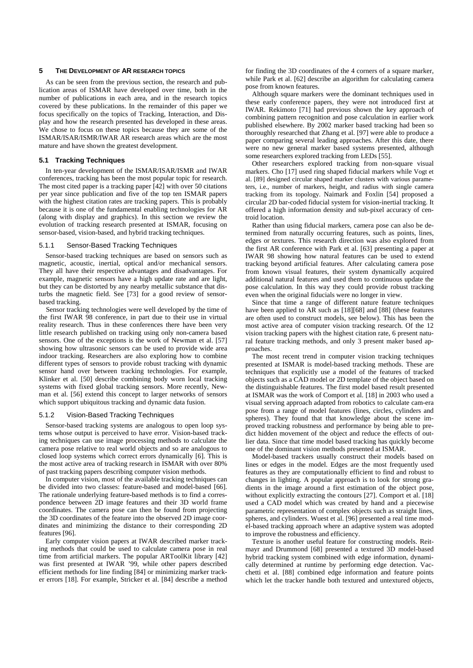#### **5 THE DEVELOPMENT OF AR RESEARCH TOPICS**

As can be seen from the previous section, the research and publication areas of ISMAR have developed over time, both in the number of publications in each area, and in the research topics covered by these publications. In the remainder of this paper we focus specifically on the topics of Tracking, Interaction, and Display and how the research presented has developed in these areas. We chose to focus on these topics because they are some of the ISMAR/ISAR/ISMR/IWAR AR research areas which are the most mature and have shown the greatest development.

# **5.1 Tracking Techniques**

In ten-year development of the ISMAR/ISAR/ISMR and IWAR conferences, tracking has been the most popular topic for research. The most cited paper is a tracking paper [42] with over 50 citations per year since publication and five of the top ten ISMAR papers with the highest citation rates are tracking papers. This is probably because it is one of the fundamental enabling technologies for AR (along with display and graphics). In this section we review the evolution of tracking research presented at ISMAR, focusing on sensor-based, vision-based, and hybrid tracking techniques.

#### 5.1.1 Sensor-Based Tracking Techniques

Sensor-based tracking techniques are based on sensors such as magnetic, acoustic, inertial, optical and/or mechanical sensors. They all have their respective advantages and disadvantages. For example, magnetic sensors have a high update rate and are light, but they can be distorted by any nearby metallic substance that disturbs the magnetic field. See [73] for a good review of sensorbased tracking.

 Sensor tracking technologies were well developed by the time of the first IWAR 98 conference, in part due to their use in virtual reality research. Thus in these conferences there have been very little research published on tracking using only non-camera based sensors. One of the exceptions is the work of Newman et al. [57] showing how ultrasonic sensors can be used to provide wide area indoor tracking. Researchers are also exploring how to combine different types of sensors to provide robust tracking with dynamic sensor hand over between tracking technologies. For example, Klinker et al. [50] describe combining body worn local tracking systems with fixed global tracking sensors. More recently, Newman et al. [56] extend this concept to larger networks of sensors which support ubiquitous tracking and dynamic data fusion.

#### 5.1.2 Vision-Based Tracking Techniques

Sensor-based tracking systems are analogous to open loop systems whose output is perceived to have error. Vision-based tracking techniques can use image processing methods to calculate the camera pose relative to real world objects and so are analogous to closed loop systems which correct errors dynamically [6]. This is the most active area of tracking research in ISMAR with over 80% of past tracking papers describing computer vision methods.

In computer vision, most of the available tracking techniques can be divided into two classes: feature-based and model-based [66]. The rationale underlying feature-based methods is to find a correspondence between 2D image features and their 3D world frame coordinates. The camera pose can then be found from projecting the 3D coordinates of the feature into the observed 2D image coordinates and minimizing the distance to their corresponding 2D features [96].

Early computer vision papers at IWAR described marker tracking methods that could be used to calculate camera pose in real time from artificial markers. The popular ARToolKit library [42] was first presented at IWAR '99, while other papers described efficient methods for line finding [84] or minimizing marker tracker errors [18]. For example, Stricker et al. [84] describe a method

for finding the 3D coordinates of the 4 corners of a square marker, while Park et al. [62] describe an algorithm for calculating camera pose from known features.

Although square markers were the dominant techniques used in these early conference papers, they were not introduced first at IWAR. Rekimoto [71] had previous shown the key approach of combining pattern recognition and pose calculation in earlier work published elsewhere. By 2002 marker based tracking had been so thoroughly researched that Zhang et al. [97] were able to produce a paper comparing several leading approaches. After this date, there were no new general marker based systems presented, although some researchers explored tracking from LEDs [55].

Other researchers explored tracking from non-square visual markers. Cho [17] used ring shaped fiducial markers while Vogt et al. [89] designed circular shaped marker clusters with various parameters, i.e., number of markers, height, and radius with single camera tracking from its topology. Naimark and Foxlin [54] proposed a circular 2D bar-coded fiducial system for vision-inertial tracking. It offered a high information density and sub-pixel accuracy of centroid location.

Rather than using fiducial markers, camera pose can also be determined from naturally occurring features, such as points, lines, edges or textures. This research direction was also explored from the first AR conference with Park et al. [63] presenting a paper at IWAR 98 showing how natural features can be used to extend tracking beyond artificial features. After calculating camera pose from known visual features, their system dynamically acquired additional natural features and used them to continuous update the pose calculation. In this way they could provide robust tracking even when the original fiducials were no longer in view.

Since that time a range of different nature feature techniques have been applied to AR such as [18][68] and [88] (these features are often used to construct models, see below). This has been the most active area of computer vision tracking research. Of the 12 vision tracking papers with the highest citation rate, 6 present natural feature tracking methods, and only 3 present maker based approaches.

The most recent trend in computer vision tracking techniques presented at ISMAR is model-based tracking methods. These are techniques that explicitly use a model of the features of tracked objects such as a CAD model or 2D template of the object based on the distinguishable features. The first model based result presented at ISMAR was the work of Comport et al. [18] in 2003 who used a visual serving approach adapted from robotics to calculate cam-era pose from a range of model features (lines, circles, cylinders and spheres). They found that that knowledge about the scene improved tracking robustness and performance by being able to predict hidden movement of the object and reduce the effects of outlier data. Since that time model based tracking has quickly become one of the dominant vision methods presented at ISMAR.

Model-based trackers usually construct their models based on lines or edges in the model. Edges are the most frequently used features as they are computationally efficient to find and robust to changes in lighting. A popular approach is to look for strong gradients in the image around a first estimation of the object pose, without explicitly extracting the contours [27]. Comport et al. [18] used a CAD model which was created by hand and a piecewise parametric representation of complex objects such as straight lines, spheres, and cylinders. Wuest et al. [96] presented a real time model-based tracking approach where an adaptive system was adopted to improve the robustness and efficiency.

Texture is another useful feature for constructing models. Reitmayr and Drummond [68] presented a textured 3D model-based hybrid tracking system combined with edge information, dynamically determined at runtime by performing edge detection. Vacchetti et al. [88] combined edge information and feature points which let the tracker handle both textured and untextured objects,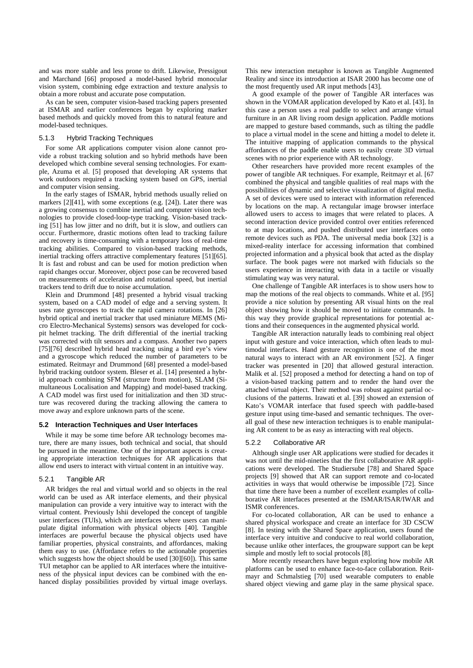and was more stable and less prone to drift. Likewise, Pressigout and Marchand [66] proposed a model-based hybrid monocular vision system, combining edge extraction and texture analysis to obtain a more robust and accurate pose computation.

As can be seen, computer vision-based tracking papers presented at ISMAR and earlier conferences began by exploring marker based methods and quickly moved from this to natural feature and model-based techniques.

# 5.1.3 Hybrid Tracking Techniques

For some AR applications computer vision alone cannot provide a robust tracking solution and so hybrid methods have been developed which combine several sensing technologies. For example, Azuma et al. [5] proposed that developing AR systems that work outdoors required a tracking system based on GPS, inertial and computer vision sensing.

In the early stages of ISMAR, hybrid methods usually relied on markers [2][41], with some exceptions (e.g. [24]). Later there was a growing consensus to combine inertial and computer vision technologies to provide closed-loop-type tracking. Vision-based tracking [51] has low jitter and no drift, but it is slow, and outliers can occur. Furthermore, drastic motions often lead to tracking failure and recovery is time-consuming with a temporary loss of real-time tracking abilities. Compared to vision-based tracking methods, inertial tracking offers attractive complementary features [51][65]. It is fast and robust and can be used for motion prediction when rapid changes occur. Moreover, object pose can be recovered based on measurements of acceleration and rotational speed, but inertial trackers tend to drift due to noise accumulation.

Klein and Drummond [48] presented a hybrid visual tracking system, based on a CAD model of edge and a serving system. It uses rate gyroscopes to track the rapid camera rotations. In [26] hybrid optical and inertial tracker that used miniature MEMS (Micro Electro-Mechanical Systems) sensors was developed for cockpit helmet tracking. The drift differential of the inertial tracking was corrected with tilt sensors and a compass. Another two papers [75][76] described hybrid head tracking using a bird eye's view and a gyroscope which reduced the number of parameters to be estimated. Reitmayr and Drummond [68] presented a model-based hybrid tracking outdoor system. Bleser et al. [14] presented a hybrid approach combining SFM (structure from motion), SLAM (Simultaneous Localisation and Mapping) and model-based tracking. A CAD model was first used for initialization and then 3D structure was recovered during the tracking allowing the camera to move away and explore unknown parts of the scene.

#### **5.2 Interaction Techniques and User Interfaces**

While it may be some time before AR technology becomes mature, there are many issues, both technical and social, that should be pursued in the meantime. One of the important aspects is creating appropriate interaction techniques for AR applications that allow end users to interact with virtual content in an intuitive way.

#### 5.2.1 Tangible AR

AR bridges the real and virtual world and so objects in the real world can be used as AR interface elements, and their physical manipulation can provide a very intuitive way to interact with the virtual content. Previously Ishii developed the concept of tangible user interfaces (TUIs), which are interfaces where users can manipulate digital information with physical objects [40]. Tangible interfaces are powerful because the physical objects used have familiar properties, physical constraints, and affordances, making them easy to use. (Affordance refers to the actionable properties which suggests how the object should be used [30][60]). This same TUI metaphor can be applied to AR interfaces where the intuitiveness of the physical input devices can be combined with the enhanced display possibilities provided by virtual image overlays.

This new interaction metaphor is known as Tangible Augmented Reality and since its introduction at ISAR 2000 has become one of the most frequently used AR input methods [43].

A good example of the power of Tangible AR interfaces was shown in the VOMAR application developed by Kato et al. [43]. In this case a person uses a real paddle to select and arrange virtual furniture in an AR living room design application. Paddle motions are mapped to gesture based commands, such as tilting the paddle to place a virtual model in the scene and hitting a model to delete it. The intuitive mapping of application commands to the physical affordances of the paddle enable users to easily create 3D virtual scenes with no prior experience with AR technology.

Other researchers have provided more recent examples of the power of tangible AR techniques. For example, Reitmayr et al. [67 combined the physical and tangible qualities of real maps with the possibilities of dynamic and selective visualization of digital media. A set of devices were used to interact with information referenced by locations on the map. A rectangular image browser interface allowed users to access to images that were related to places. A second interaction device provided control over entities referenced to at map locations, and pushed distributed user interfaces onto remote devices such as PDA. The universal media book [32] is a mixed-reality interface for accessing information that combined projected information and a physical book that acted as the display surface. The book pages were not marked with fiducials so the users experience in interacting with data in a tactile or visually stimulating way was very natural.

One challenge of Tangible AR interfaces is to show users how to map the motions of the real objects to commands. White et al. [95] provide a nice solution by presenting AR visual hints on the real object showing how it should be moved to initiate commands. In this way they provide graphical representations for potential actions and their consequences in the augmented physical world.

Tangible AR interaction naturally leads to combining real object input with gesture and voice interaction, which often leads to multimodal interfaces. Hand gesture recognition is one of the most natural ways to interact with an AR environment [52]. A finger tracker was presented in [20] that allowed gestural interaction. Malik et al. [52] proposed a method for detecting a hand on top of a vision-based tracking pattern and to render the hand over the attached virtual object. Their method was robust against partial occlusions of the patterns. Irawati et al. [39] showed an extension of Kato's VOMAR interface that fused speech with paddle-based gesture input using time-based and semantic techniques. The overall goal of these new interaction techniques is to enable manipulating AR content to be as easy as interacting with real objects.

#### 5.2.2 Collaborative AR

Although single user AR applications were studied for decades it was not until the mid-nineties that the first collaborative AR applications were developed. The Studiersube [78] and Shared Space projects [9] showed that AR can support remote and co-located activities in ways that would otherwise be impossible [72]. Since that time there have been a number of excellent examples of collaborative AR interfaces presented at the ISMAR/ISAR/IWAR and ISMR conferences.

For co-located collaboration, AR can be used to enhance a shared physical workspace and create an interface for 3D CSCW [8]. In testing with the Shared Space application, users found the interface very intuitive and conducive to real world collaboration, because unlike other interfaces, the groupware support can be kept simple and mostly left to social protocols [8].

More recently researchers have begun exploring how mobile AR platforms can be used to enhance face-to-face collaboration. Reitmayr and Schmalstieg [70] used wearable computers to enable shared object viewing and game play in the same physical space.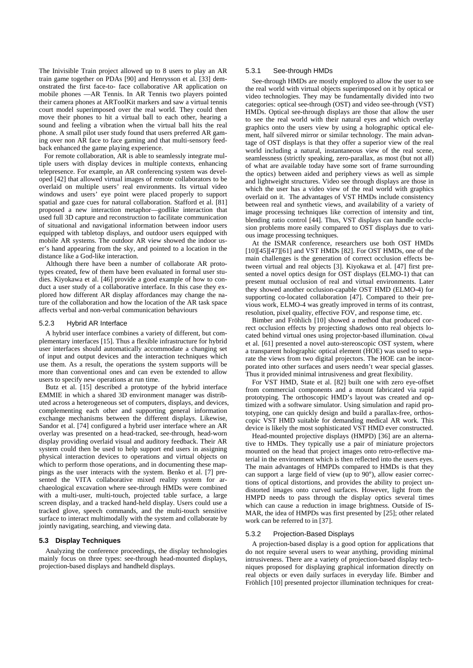The Inivisible Train project allowed up to 8 users to play an AR train game together on PDAs [90] and Henrysson et al. [33] demonstrated the first face-to- face collaborative AR application on mobile phones —AR Tennis. In AR Tennis two players pointed their camera phones at ARToolKit markers and saw a virtual tennis court model superimposed over the real world. They could then move their phones to hit a virtual ball to each other, hearing a sound and feeling a vibration when the virtual ball hits the real phone. A small pilot user study found that users preferred AR gaming over non AR face to face gaming and that multi-sensory feedback enhanced the game playing experience.

 For remote collaboration, AR is able to seamlessly integrate multiple users with display devices in multiple contexts, enhancing telepresence. For example, an AR conferencing system was developed [42] that allowed virtual images of remote collaborators to be overlaid on multiple users' real environments. Its virtual video windows and users' eye point were placed properly to support spatial and gaze cues for natural collaboration. Stafford et al. [81] proposed a new interaction metaphor—godlike interaction that used full 3D capture and reconstruction to facilitate communication of situational and navigational information between indoor users equipped with tabletop displays, and outdoor users equipped with mobile AR systems. The outdoor AR view showed the indoor user's hand appearing from the sky, and pointed to a location in the distance like a God-like interaction.

 Although there have been a number of collaborate AR prototypes created, few of them have been evaluated in formal user studies. Kiyokawa et al. [46] provide a good example of how to conduct a user study of a collaborative interface. In this case they explored how different AR display affordances may change the nature of the collaboration and how the location of the AR task space affects verbal and non-verbal communication behaviours

## 5.2.3 Hybrid AR Interface

A hybrid user interface combines a variety of different, but complementary interfaces [15]. Thus a flexible infrastructure for hybrid user interfaces should automatically accommodate a changing set of input and output devices and the interaction techniques which use them. As a result, the operations the system supports will be more than conventional ones and can even be extended to allow users to specify new operations at run time.

Butz et al. [15] described a prototype of the hybrid interface EMMIE in which a shared 3D environment manager was distributed across a heterogeneous set of computers, displays, and devices, complementing each other and supporting general information exchange mechanisms between the different displays. Likewise, Sandor et al. [74] configured a hybrid user interface where an AR overlay was presented on a head-tracked, see-through, head-worn display providing overlaid visual and auditory feedback. Their AR system could then be used to help support end users in assigning physical interaction devices to operations and virtual objects on which to perform those operations, and in documenting these mappings as the user interacts with the system. Benko et al. [7] presented the VITA collaborative mixed reality system for archaeological excavation where see-through HMDs were combined with a multi-user, multi-touch, projected table surface, a large screen display, and a tracked hand-held display. Users could use a tracked glove, speech commands, and the multi-touch sensitive surface to interact multimodally with the system and collaborate by jointly navigating, searching, and viewing data.

## **5.3 Display Techniques**

Analyzing the conference proceedings, the display technologies mainly focus on three types: see-through head-mounted displays, projection-based displays and handheld displays.

#### 5.3.1 See-through HMDs

See-through HMDs are mostly employed to allow the user to see the real world with virtual objects superimposed on it by optical or video technologies. They may be fundamentally divided into two categories: optical see-through (OST) and video see-through (VST) HMDs. Optical see-through displays are those that allow the user to see the real world with their natural eyes and which overlay graphics onto the users view by using a holographic optical element, half silvered mirror or similar technology. The main advantage of OST displays is that they offer a superior view of the real world including a natural, instantaneous view of the real scene, seamlessness (strictly speaking, zero-parallax, as most (but not all) of what are available today have some sort of frame surrounding the optics) between aided and periphery views as well as simple and lightweight structures. Video see through displays are those in which the user has a video view of the real world with graphics overlaid on it. The advantages of VST HMDs include consistency between real and synthetic views, and availability of a variety of image processing techniques like correction of intensity and tint, blending ratio control [44]. Thus, VST displays can handle occlusion problems more easily compared to OST displays due to various image processing techniques.

At the ISMAR conference, researchers use both OST HMDs [10][45][47][61] and VST HMDs [82]. For OST HMDs, one of the main challenges is the generation of correct occlusion effects between virtual and real objects [3]. Kiyokawa et al. [47] first presented a novel optics design for OST displays (ELMO-1) that can present mutual occlusion of real and virtual environments. Later they showed another occlusion-capable OST HMD (ELMO-4) for supporting co-located collaboration [47]. Compared to their previous work, ELMO-4 was greatly improved in terms of its contrast, resolution, pixel quality, effective FOV, and response time, etc.

Bimber and Fröhlich [10] showed a method that produced correct occlusion effects by projecting shadows onto real objects located behind virtual ones using projector-based illumination. Olwal et al. [61] presented a novel auto-stereoscopic OST system, where a transparent holographic optical element (HOE) was used to separate the views from two digital projectors. The HOE can be incorporated into other surfaces and users needn't wear special glasses. Thus it provided minimal intrusiveness and great flexibility.

For VST HMD, State et al. [82] built one with zero eye-offset from commercial components and a mount fabricated via rapid prototyping. The orthoscopic HMD's layout was created and optimized with a software simulator. Using simulation and rapid prototyping, one can quickly design and build a parallax-free, orthoscopic VST HMD suitable for demanding medical AR work. This device is likely the most sophisticated VST HMD ever constructed.

Head-mounted projective displays (HMPD) [36] are an alternative to HMDs. They typically use a pair of miniature projectors mounted on the head that project images onto retro-reflective material in the environment which is then reflected into the users eyes. The main advantages of HMPDs compared to HMDs is that they can support a large field of view (up to 90°), allow easier corrections of optical distortions, and provides the ability to project undistorted images onto curved surfaces. However, light from the HMPD needs to pass through the display optics several times which can cause a reduction in image brightness. Outside of IS-MAR, the idea of HMPDs was first presented by [25]; other related work can be referred to in [37].

## 5.3.2 Projection-Based Displays

A projection-based display is a good option for applications that do not require several users to wear anything, providing minimal intrusiveness. There are a variety of projection-based display techniques proposed for displaying graphical information directly on real objects or even daily surfaces in everyday life. Bimber and Fröhlich [10] presented projector illumination techniques for creat-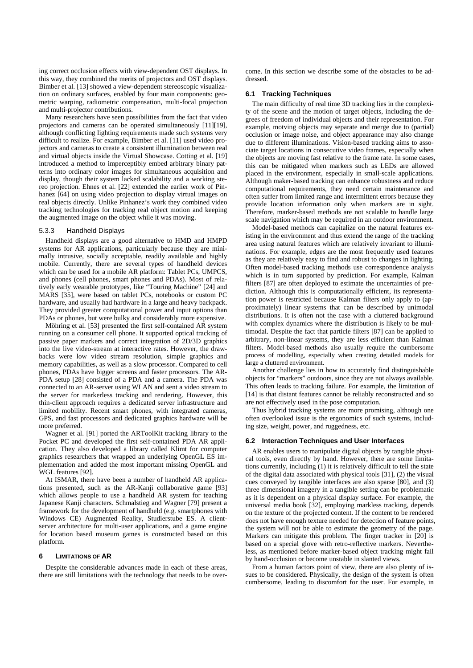ing correct occlusion effects with view-dependent OST displays. In this way, they combined the merits of projectors and OST displays. Bimber et al. [13] showed a view-dependent stereoscopic visualization on ordinary surfaces, enabled by four main components: geometric warping, radiometric compensation, multi-focal projection and multi-projector contributions.

Many researchers have seen possibilities from the fact that video projectors and cameras can be operated simultaneously [11][19], although conflicting lighting requirements made such systems very difficult to realize. For example, Bimber et al. [11] used video projectors and cameras to create a consistent illumination between real and virtual objects inside the Virtual Showcase. Cotting et al. [19] introduced a method to imperceptibly embed arbitrary binary patterns into ordinary color images for simultaneous acquisition and display, though their system lacked scalability and a working stereo projection. Ehnes et al. [22] extended the earlier work of Pinhanez [64] on using video projection to display virtual images on real objects directly. Unlike Pinhanez's work they combined video tracking technologies for tracking real object motion and keeping the augmented image on the object while it was moving.

## 5.3.3 Handheld Displays

Handheld displays are a good alternative to HMD and HMPD systems for AR applications, particularly because they are minimally intrusive, socially acceptable, readily available and highly mobile. Currently, there are several types of handheld devices which can be used for a mobile AR platform: Tablet PCs, UMPCS, and phones (cell phones, smart phones and PDAs). Most of relatively early wearable prototypes, like "Touring Machine" [24] and MARS [35], were based on tablet PCs, notebooks or custom PC hardware, and usually had hardware in a large and heavy backpack. They provided greater computational power and input options than PDAs or phones, but were bulky and considerably more expensive.

Möhring et al. [53] presented the first self-contained AR system running on a consumer cell phone. It supported optical tracking of passive paper markers and correct integration of 2D/3D graphics into the live video-stream at interactive rates. However, the drawbacks were low video stream resolution, simple graphics and memory capabilities, as well as a slow processor. Compared to cell phones, PDAs have bigger screens and faster processors. The AR-PDA setup [28] consisted of a PDA and a camera. The PDA was connected to an AR-server using WLAN and sent a video stream to the server for markerless tracking and rendering. However, this thin-client approach requires a dedicated server infrastructure and limited mobility. Recent smart phones, with integrated cameras, GPS, and fast processors and dedicated graphics hardware will be more preferred.

Wagner et al. [91] ported the ARToolKit tracking library to the Pocket PC and developed the first self-contained PDA AR application. They also developed a library called Klimt for computer graphics researchers that wrapped an underlying OpenGL ES implementation and added the most important missing OpenGL and WGL features [92].

At ISMAR, there have been a number of handheld AR applications presented, such as the AR-Kanji collaborative game [93] which allows people to use a handheld AR system for teaching Japanese Kanji characters. Schmalstieg and Wagner [79] present a framework for the development of handheld (e.g. smartphones with Windows CE) Augmented Reality, Studierstube ES. A clientserver architecture for multi-user applications, and a game engine for location based museum games is constructed based on this platform.

#### **6 LIMITATIONS OF AR**

Despite the considerable advances made in each of these areas, there are still limitations with the technology that needs to be overcome. In this section we describe some of the obstacles to be addressed.

# **6.1 Tracking Techniques**

The main difficulty of real time 3D tracking lies in the complexity of the scene and the motion of target objects, including the degrees of freedom of individual objects and their representation. For example, motving objects may separate and merge due to (partial) occlusion or image noise, and object appearance may also change due to different illuminations. Vision-based tracking aims to associate target locations in consecutive video frames, especially when the objects are moving fast relative to the frame rate. In some cases, this can be mitigated when markers such as LEDs are allowed placed in the environment, especially in small-scale applications. Although maker-based tracking can enhance robustness and reduce computational requirements, they need certain maintenance and often suffer from limited range and intermittent errors because they provide location information only when markers are in sight. Therefore, marker-based methods are not scalable to handle large scale navigation which may be required in an outdoor environment.

Model-based methods can capitalize on the natural features existing in the environment and thus extend the range of the tracking area using natural features which are relatively invariant to illuminations. For example, edges are the most frequently used features as they are relatively easy to find and robust to changes in lighting. Often model-based tracking methods use correspondence analysis which is in turn supported by prediction. For example, Kalman filters [87] are often deployed to estimate the uncertainties of prediction. Although this is computationally efficient, its representation power is restricted because Kalman filters only apply to (approximately) linear systems that can be described by unimodal distributions. It is often not the case with a cluttered background with complex dynamics where the distribution is likely to be multimodal. Despite the fact that particle filters [87] can be applied to arbitrary, non-linear systems, they are less efficient than Kalman filters. Model-based methods also usually require the cumbersome process of modelling, especially when creating detailed models for large a cluttered environment.

Another challenge lies in how to accurately find distinguishable objects for "markers" outdoors, since they are not always available. This often leads to tracking failure. For example, the limitation of [14] is that distant features cannot be reliably reconstructed and so are not effectively used in the pose computation.

Thus hybrid tracking systems are more promising, although one often overlooked issue is the ergonomics of such systems, including size, weight, power, and ruggedness, etc.

# **6.2 Interaction Techniques and User Interfaces**

AR enables users to manipulate digital objects by tangible physical tools, even directly by hand. However, there are some limitations currently, including (1) it is relatively difficult to tell the state of the digital data associated with physical tools [31], (2) the visual cues conveyed by tangible interfaces are also sparse [80], and (3) three dimensional imagery in a tangible setting can be problematic as it is dependent on a physical display surface. For example, the universal media book [32], employing markless tracking, depends on the texture of the projected content. If the content to be rendered does not have enough texture needed for detection of feature points, the system will not be able to estimate the geometry of the page. Markers can mitigate this problem. The finger tracker in [20] is based on a special glove with retro-reflective markers. Nevertheless, as mentioned before marker-based object tracking might fail by hand-occlusion or become unstable in slanted views.

From a human factors point of view, there are also plenty of issues to be considered. Physically, the design of the system is often cumbersome, leading to discomfort for the user. For example, in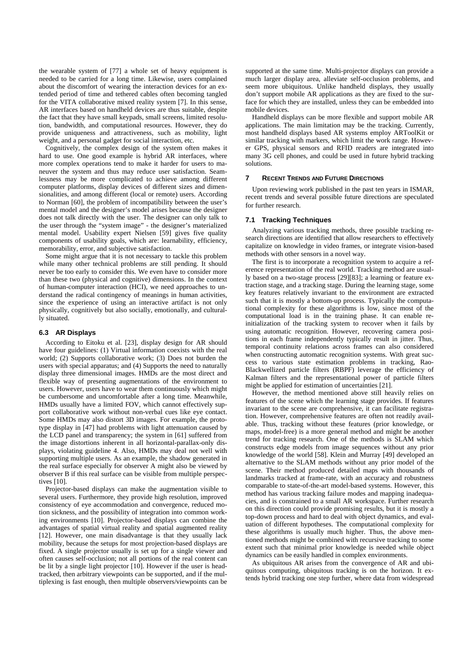the wearable system of [77] a whole set of heavy equipment is needed to be carried for a long time. Likewise, users complained about the discomfort of wearing the interaction devices for an extended period of time and tethered cables often becoming tangled for the VITA collaborative mixed reality system [7]. In this sense, AR interfaces based on handheld devices are thus suitable, despite the fact that they have small keypads, small screens, limited resolution, bandwidth, and computational resources. However, they do provide uniqueness and attractiveness, such as mobility, light weight, and a personal gadget for social interaction, etc.

Cognitively, the complex design of the system often makes it hard to use. One good example is hybrid AR interfaces, where more complex operations tend to make it harder for users to maneuver the system and thus may reduce user satisfaction. Seamlessness may be more complicated to achieve among different computer platforms, display devices of different sizes and dimensionalities, and among different (local or remote) users. According to Norman [60], the problem of incompatibility between the user's mental model and the designer's model arises because the designer does not talk directly with the user. The designer can only talk to the user through the "system image" - the designer's materialized mental model. Usability expert Nielsen [59] gives five quality components of usability goals, which are: learnability, efficiency, memorability, error, and subjective satisfaction.

Some might argue that it is not necessary to tackle this problem while many other technical problems are still pending. It should never be too early to consider this. We even have to consider more than these two (physical and cognitive) dimensions. In the context of human-computer interaction (HCI), we need approaches to understand the radical contingency of meanings in human activities, since the experience of using an interactive artifact is not only physically, cognitively but also socially, emotionally, and culturally situated.

## **6.3 AR Displays**

According to Eitoku et al. [23], display design for AR should have four guidelines: (1) Virtual information coexists with the real world; (2) Supports collaborative work; (3) Does not burden the users with special apparatus; and (4) Supports the need to naturally display three dimensional images. HMDs are the most direct and flexible way of presenting augmentations of the environment to users. However, users have to wear them continuously which might be cumbersome and uncomfortable after a long time. Meanwhile, HMDs usually have a limited FOV, which cannot effectively support collaborative work without non-verbal cues like eye contact. Some HMDs may also distort 3D images. For example, the prototype display in [47] had problems with light attenuation caused by the LCD panel and transparency; the system in [61] suffered from the image distortions inherent in all horizontal-parallax-only displays, violating guideline 4. Also, HMDs may deal not well with supporting multiple users. As an example, the shadow generated in the real surface especially for observer A might also be viewed by observer B if this real surface can be visible from multiple perspectives [10].

Projector-based displays can make the augmentation visible to several users. Furthermore, they provide high resolution, improved consistency of eye accommodation and convergence, reduced motion sickness, and the possibility of integration into common working environments [10]. Projector-based displays can combine the advantages of spatial virtual reality and spatial augmented reality [12]. However, one main disadvantage is that they usually lack mobility, because the setups for most projection-based displays are fixed. A single projector usually is set up for a single viewer and often causes self-occlusion; not all portions of the real content can be lit by a single light projector [10]. However if the user is headtracked, then arbitrary viewpoints can be supported, and if the multiplexing is fast enough, then multiple observers/viewpoints can be

supported at the same time. Multi-projector displays can provide a much larger display area, alleviate self-occlusion problems, and seem more ubiquitous. Unlike handheld displays, they usually don't support mobile AR applications as they are fixed to the surface for which they are installed, unless they can be embedded into mobile devices.

Handheld displays can be more flexible and support mobile AR applications. The main limitation may be the tracking. Currently, most handheld displays based AR systems employ ARToolKit or similar tracking with markers, which limit the work range. However GPS, physical sensors and RFID readers are integrated into many 3G cell phones, and could be used in future hybrid tracking solutions.

# **7 RECENT TRENDS AND FUTURE DIRECTIONS**

Upon reviewing work published in the past ten years in ISMAR, recent trends and several possible future directions are speculated for further research.

## **7.1 Tracking Techniques**

Analyzing various tracking methods, three possible tracking research directions are identified that allow researchers to effectively capitalize on knowledge in video frames, or integrate vision-based methods with other sensors in a novel way.

The first is to incorporate a recognition system to acquire a reference representation of the real world. Tracking method are usually based on a two-stage process [29][83]; a learning or feature extraction stage, and a tracking stage. During the learning stage, some key features relatively invariant to the environment are extracted such that it is mostly a bottom-up process. Typically the computational complexity for these algorithms is low, since most of the computational load is in the training phase. It can enable reinitialization of the tracking system to recover when it fails by using automatic recognition. However, recovering camera positions in each frame independently typically result in jitter. Thus, temporal continuity relations across frames can also considered when constructing automatic recognition systems. With great success to various state estimation problems in tracking, Rao-Blackwellized particle filters (RBPF) leverage the efficiency of Kalman filters and the representational power of particle filters might be applied for estimation of uncertainties [21].

However, the method mentioned above still heavily relies on features of the scene which the learning stage provides. If features invariant to the scene are comprehensive, it can facilitate registration. However, comprehensive features are often not readily available. Thus, tracking without these features (prior knowledge, or maps, model-free) is a more general method and might be another trend for tracking research. One of the methods is SLAM which constructs edge models from image sequences without any prior knowledge of the world [58]. Klein and Murray [49] developed an alternative to the SLAM methods without any prior model of the scene. Their method produced detailed maps with thousands of landmarks tracked at frame-rate, with an accuracy and robustness comparable to state-of-the-art model-based systems. However, this method has various tracking failure modes and mapping inadequacies, and is constrained to a small AR workspace. Further research on this direction could provide promising results, but it is mostly a top-down process and hard to deal with object dynamics, and evaluation of different hypotheses. The computational complexity for these algorithms is usually much higher. Thus, the above mentioned methods might be combined with recursive tracking to some extent such that minimal prior knowledge is needed while object dynamics can be easily handled in complex environments.

As ubiquitous AR arises from the convergence of AR and ubiquitous computing, ubiquitous tracking is on the horizon. It extends hybrid tracking one step further, where data from widespread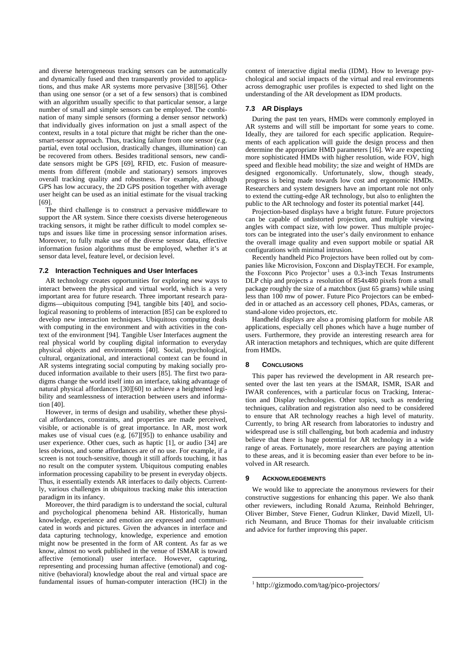and diverse heterogeneous tracking sensors can be automatically and dynamically fused and then transparently provided to applications, and thus make AR systems more pervasive [38][56]. Other than using one sensor (or a set of a few sensors) that is combined with an algorithm usually specific to that particular sensor, a large number of small and simple sensors can be employed. The combination of many simple sensors (forming a denser sensor network) that individually gives information on just a small aspect of the context, results in a total picture that might be richer than the onesmart-sensor approach. Thus, tracking failure from one sensor (e.g. partial, even total occlusion, drastically changes, illumination) can be recovered from others. Besides traditional sensors, new candidate sensors might be GPS [69], RFID, etc. Fusion of measurements from different (mobile and stationary) sensors improves overall tracking quality and robustness. For example, although GPS has low accuracy, the 2D GPS position together with average user height can be used as an initial estimate for the visual tracking [69].

The third challenge is to construct a pervasive middleware to support the AR system. Since there coexists diverse heterogeneous tracking sensors, it might be rather difficult to model complex setups and issues like time in processing sensor information arises. Moreover, to fully make use of the diverse sensor data, effective information fusion algorithms must be employed, whether it's at sensor data level, feature level, or decision level.

#### **7.2 Interaction Techniques and User Interfaces**

AR technology creates opportunities for exploring new ways to interact between the physical and virtual world, which is a very important area for future research. Three important research paradigms—ubiquitous computing [94], tangible bits [40], and sociological reasoning to problems of interaction [85] can be explored to develop new interaction techniques. Ubiquitous computing deals with computing in the environment and with activities in the context of the environment [94]. Tangible User Interfaces augment the real physical world by coupling digital information to everyday physical objects and environments [40]. Social, psychological, cultural, organizational, and interactional context can be found in AR systems integrating social computing by making socially produced information available to their users [85]. The first two paradigms change the world itself into an interface, taking advantage of natural physical affordances [30][60] to achieve a heightened legibility and seamlessness of interaction between users and information [40].

However, in terms of design and usability, whether these physical affordances, constraints, and properties are made perceived, visible, or actionable is of great importance. In AR, most work makes use of visual cues (e.g. [67][95]) to enhance usability and user experience. Other cues, such as haptic [1], or audio [34] are less obvious, and some affordances are of no use. For example, if a screen is not touch-sensitive, though it still affords touching, it has no result on the computer system. Ubiquitous computing enables information processing capability to be present in everyday objects. Thus, it essentially extends AR interfaces to daily objects. Currently, various challenges in ubiquitous tracking make this interaction paradigm in its infancy.

Moreover, the third paradigm is to understand the social, cultural and psychological phenomena behind AR. Historically, human knowledge, experience and emotion are expressed and communicated in words and pictures. Given the advances in interface and data capturing technology, knowledge, experience and emotion might now be presented in the form of AR content. As far as we know, almost no work published in the venue of ISMAR is toward affective (emotional) user interface. However, capturing, representing and processing human affective (emotional) and cognitive (behavioral) knowledge about the real and virtual space are fundamental issues of human-computer interaction (HCI) in the context of interactive digital media (IDM). How to leverage psychological and social impacts of the virtual and real environments across demographic user profiles is expected to shed light on the understanding of the AR development as IDM products.

# **7.3 AR Displays**

During the past ten years, HMDs were commonly employed in AR systems and will still be important for some years to come. Ideally, they are tailored for each specific application. Requirements of each application will guide the design process and then determine the appropriate HMD parameters [16]. We are expecting more sophisticated HMDs with higher resolution, wide FOV, high speed and flexible head mobility; the size and weight of HMDs are designed ergonomically. Unfortunately, slow, though steady, progress is being made towards low cost and ergonomic HMDs. Researchers and system designers have an important role not only to extend the cutting-edge AR technology, but also to enlighten the public to the AR technology and foster its potential market [44].

Projection-based displays have a bright future. Future projectors can be capable of undistorted projection, and multiple viewing angles with compact size, with low power. Thus multiple projectors can be integrated into the user's daily environment to enhance the overall image quality and even support mobile or spatial AR configurations with minimal intrusion.

Recently handheld Pico Projectors have been rolled out by companies like Microvision, Foxconn and DisplayTECH. For example, the Foxconn Pico Projector<sup>1</sup> uses a 0.3-inch Texas Instruments DLP chip and projects a resolution of 854x480 pixels from a small package roughly the size of a matchbox (just 65 grams) while using less than 100 mw of power. Future Pico Projectors can be embedded in or attached as an accessory cell phones, PDAs, cameras, or stand-alone video projectors, etc.

Handheld displays are also a promising platform for mobile AR applications, especially cell phones which have a huge number of users. Furthermore, they provide an interesting research area for AR interaction metaphors and techniques, which are quite different from HMDs.

## **8 CONCLUSIONS**

This paper has reviewed the development in AR research presented over the last ten years at the ISMAR, ISMR, ISAR and IWAR conferences, with a particular focus on Tracking, Interaction and Display technologies. Other topics, such as rendering techniques, calibration and registration also need to be considered to ensure that AR technology reaches a high level of maturity. Currently, to bring AR research from laboratories to industry and widespread use is still challenging, but both academia and industry believe that there is huge potential for AR technology in a wide range of areas. Fortunately, more researchers are paying attention to these areas, and it is becoming easier than ever before to be involved in AR research.

## **9 ACKNOWLEDGEMENTS**

<u>.</u>

We would like to appreciate the anonymous reviewers for their constructive suggestions for enhancing this paper. We also thank other reviewers, including Ronald Azuma, Reinhold Behringer, Oliver Bimber, Steve Fiener, Gudrun Klinker, David Mizell, Ulrich Neumann, and Bruce Thomas for their invaluable criticism and advice for further improving this paper.

<sup>1</sup> http://gizmodo.com/tag/pico-projectors/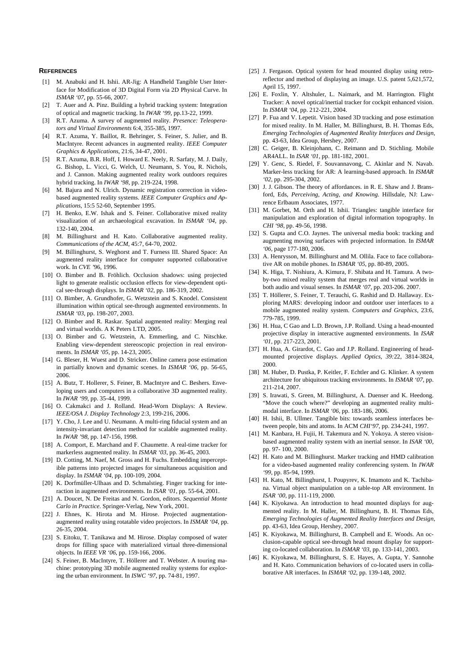#### **REFERENCES**

- [1] M. Anabuki and H. Ishii. AR-Jig: A Handheld Tangible User Interface for Modification of 3D Digital Form via 2D Physical Curve. In *ISMAR '07*, pp. 55-66, 2007.
- [2] T. Auer and A. Pinz. Building a hybrid tracking system: Integration of optical and magnetic tracking. In *IWAR '99*, pp.13-22, 1999.
- [3] R.T. Azuma. A survey of augmented reality. *Presence: Teleoperators and Virtual Environments* 6:4, 355-385, 1997.
- [4] R.T. Azuma, Y. Baillot, R. Behringer, S. Feiner, S. Julier, and B. MacIntyre. Recent advances in augmented reality. *IEEE Computer Graphics & Applications*, 21:6, 34-47, 2001.
- [5] R.T. Azuma, B.R. Hoff, I. Howard E. Neely, R. Sarfaty, M. J. Daily, G. Bishop, L. Vicci, G. Welch, U. Neumann, S. You, R. Nichols, and J. Cannon. Making augmented reality work outdoors requires hybrid tracking. In *IWAR '98*, pp. 219-224, 1998.
- [6] M. Bajura and N. Ulrich. Dynamic registration correction in videobased augmented reality systems. *IEEE Computer Graphics and Applications*, 15:5 52-60, September 1995.
- [7] H. Benko, E.W. Ishak and S. Feiner. Collaborative mixed reality visualization of an archaeological excavation. In *ISMAR '04*, pp. 132-140, 2004.
- [8] M. Billinghurst and H. Kato. Collaborative augmented reality. *Communications of the ACM*, 45:7, 64-70, 2002.
- [9] M. Billinghurst, S. Weghorst and T. Furness III. Shared Space: An augmented reality interface for computer supported collaborative work. In *CVE '*96, 1996.
- [10] O. Bimber and B. Fröhlich. Occlusion shadows: using projected light to generate realistic occlusion effects for view-dependent optical see-through displays. In *ISMAR '02*, pp. 186-319, 2002.
- [11] O. Bimber, A. Grundhofer, G. Wetzstein and S. Knodel. Consistent illumination within optical see-through augmented environments. In *ISMAR '03*, pp. 198-207, 2003.
- [12] O. Bimber and R. Raskar. Spatial augmented reality: Merging real and virtual worlds. A K Peters LTD, 2005.
- [13] O. Bimber and G. Wetzstein, A. Emmerling, and C. Nitschke. Enabling view-dependent stereoscopic projection in real environments. In *ISMAR '05*, pp. 14-23, 2005.
- [14] G. Bleser, H. Wuest and D. Stricker. Online camera pose estimation in partially known and dynamic scenes. In *ISMAR '06*, pp. 56-65, 2006.
- [15] A. Butz, T. Hollerer, S. Feiner, B. MacIntyre and C. Beshers. Enveloping users and computers in a collaborative 3D augmented reality. In *IWAR '99*, pp. 35-44, 1999.
- [16] O. Cakmakci and J. Rolland. Head-Worn Displays: A Review. *IEEE/OSA J. Display Technology* 2:3, 199-216, 2006.
- [17] Y. Cho, J. Lee and U. Neumann. A multi-ring fiducial system and an intensity-invariant detection method for scalable augmented reality. In *IWAR '98*, pp. 147-156, 1998.
- [18] A. Comport, E. Marchand and F. Chaumette. A real-time tracker for markerless augmented reality. In *ISMAR '03*, pp. 36-45, 2003.
- [19] D. Cotting, M. Naef, M. Gross and H. Fuchs. Embedding imperceptible patterns into projected images for simultaneous acquisition and display. In *ISMAR '04*, pp. 100-109, 2004.
- [20] K. Dorfmüller-Ulhaas and D. Schmalstieg. Finger tracking for interaction in augmented environments. In *ISAR '01*, pp. 55-64, 2001.
- [21] A. Doucet, N. De Freitas and N. Gordon, editors. *Sequential Monte Carlo in Practice*. Springer-Verlag, New York, 2001.
- [22] J. Ehnes, K. Hirota and M. Hirose. Projected augmentationaugmented reality using rotatable video projectors. In *ISMAR '04*, pp. 26-35, 2004.
- [23] S. Eitoku, T. Tanikawa and M. Hirose. Display composed of water drops for filling space with materialized virtual three-dimensional objects. In *IEEE VR '06*, pp. 159-166, 2006.
- [24] S. Feiner, B. MacIntyre, T. Höllerer and T. Webster. A touring machine: prototyping 3D mobile augmented reality systems for exploring the urban environment. In *ISWC '97*, pp. 74-81, 1997.
- [25] J. Fergason. Optical system for head mounted display using retroreflector and method of displaying an image. U.S. patent 5,621,572, April 15, 1997.
- [26] E. Foxlin, Y. Altshuler, L. Naimark, and M. Harrington. Flight Tracker: A novel optical/inertial tracker for cockpit enhanced vision. In *ISMAR '04*, pp. 212-221, 2004.
- [27] P. Fua and V. Lepetit. Vision based 3D tracking and pose estimation for mixed reality. In M. Haller, M. Billinghurst, B. H. Thomas Eds, *Emerging Technologies of Augmented Reality Interfaces and Design*, pp. 43-63, Idea Group, Hershey, 2007.
- [28] C. Geiger, B. Kleinjohann, C. Reimann and D. Stichling. Mobile AR4ALL. In *ISAR '01*, pp. 181-182, 2001.
- [29] Y. Genc, S. Riedel, F. Souvannavong, C. Akinlar and N. Navab. Marker-less tracking for AR: A learning-based approach. In *ISMAR '02*, pp. 295-304, 2002.
- [30] J. J. Gibson. The theory of affordances. in R. E. Shaw and J. Bransford, Eds, *Perceiving, Acting, and Knowing*. Hillsdale, NJ: Lawrence Erlbaum Associates, 1977.
- [31] M. Gorbet, M. Orth and H. Ishii. Triangles: tangible interface for manipulation and exploration of digital information topography. In *CHI '98*, pp. 49-56, 1998.
- [32] S. Gupta and C.O. Jaynes. The universal media book: tracking and augmenting moving surfaces with projected information. In *ISMAR '06*, page 177-180, 2006.
- [33] A. Henrysson, M. Billinghurst and M. Ollila. Face to face collaborative AR on mobile phones. In *ISMAR '05*, pp. 80-89, 2005.
- [34] K. Higa, T. Nishiura, A. Kimura, F. Shibata and H. Tamura. A twoby-two mixed reality system that merges real and virtual worlds in both audio and visual senses. In *ISMAR '07*, pp. 203-206. 2007.
- [35] T. Höllerer, S. Feiner, T. Terauchi, G. Rashid and D. Hallaway. Exploring MARS: developing indoor and outdoor user interfaces to a mobile augmented reality system. *Computers and Graphics*, 23:6, 779-785, 1999.
- [36] H. Hua, C Gao and L.D. Brown, J.P. Rolland. Using a head-mounted projective display in interactive augmented environments. In *ISAR '01*, pp. 217-223, 2001.
- [37] H. Hua, A. Girardot, C. Gao and J.P. Rolland. Engineering of headmounted projective displays. *Applied Optics, 39:*22, 3814-3824, 2000.
- [38] M. Huber, D. Pustka, P. Keitler, F. Echtler and G. Klinker. A system architecture for ubiquitous tracking environments. In *ISMAR '07,* pp. 211-214, 2007.
- [39] S. Irawati, S. Green, M. Billinghurst, A. Duenser and K. Heedong. "Move the couch where?" developing an augmented reality multimodal interface. In *ISMAR '06,* pp. 183-186, 2006.
- [40] H. Ishii, B. Ullmer. Tangible bits: towards seamless interfaces between people, bits and atoms. In ACM *CHI'97*, pp. 234-241, 1997.
- [41] M. Kanbara, H. Fujii, H. Takemura and N. Yokoya. A stereo visionbased augmented reality system with an inertial sensor. In *ISAR '00*, pp. 97- 100, 2000.
- [42] H. Kato and M. Billinghurst. Marker tracking and HMD calibration for a video-based augmented reality conferencing system. In *IWAR '99*, pp. 85-94, 1999.
- [43] H. Kato, M. Billinghurst, I. Poupyrev, K. Imamoto and K. Tachibana. Virtual object manipulation on a table-top AR environment. In *ISAR '00*, pp. 111-119, 2000.
- [44] K. Kiyokawa. An introduction to head mounted displays for augmented reality. In M. Haller, M. Billinghurst, B. H. Thomas Eds, *Emerging Technologies of Augmented Reality Interfaces and Design*, pp. 43-63, Idea Group, Hershey, 2007.
- [45] K. Kiyokawa, M. Billinghurst, B. Campbell and E. Woods. An occlusion-capable optical see-through head mount display for supporting co-located collaboration. In *ISMAR '03*, pp. 133-141, 2003.
- [46] K. Kiyokawa, M. Billinghurst, S. E. Hayes, A. Gupta, Y. Sannohe and H. Kato. Communication behaviors of co-located users in collaborative AR interfaces. In *ISMAR '02*, pp. 139-148, 2002.